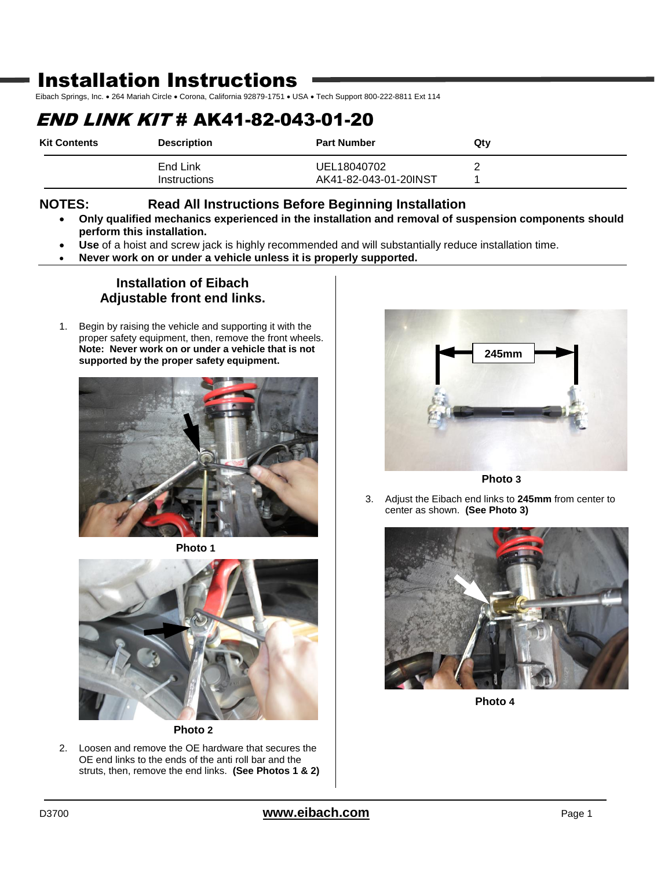# Installation Instructions

Eibach Springs, Inc. . 264 Mariah Circle . Corona, California 92879-1751 . USA . Tech Support 800-222-8811 Ext 114

# END LINK KIT # AK41-82-043-01-20

| <b>Kit Contents</b> | <b>Description</b>       | <b>Part Number</b>                   | Qtv |
|---------------------|--------------------------|--------------------------------------|-----|
|                     | End Link<br>Instructions | UEL18040702<br>AK41-82-043-01-20INST |     |

### **NOTES: Read All Instructions Before Beginning Installation**

- **Only qualified mechanics experienced in the installation and removal of suspension components should perform this installation.**
- **Use** of a hoist and screw jack is highly recommended and will substantially reduce installation time.
- **Never work on or under a vehicle unless it is properly supported.**

### **Installation of Eibach Adjustable front end links.**

1. Begin by raising the vehicle and supporting it with the proper safety equipment, then, remove the front wheels. **Note: Never work on or under a vehicle that is not supported by the proper safety equipment.**



**Photo 1**



**Photo 2**

2. Loosen and remove the OE hardware that secures the OE end links to the ends of the anti roll bar and the struts, then, remove the end links. **(See Photos 1 & 2)**



3. Adjust the Eibach end links to **245mm** from center to center as shown. **(See Photo 3)**



**Photo 4**